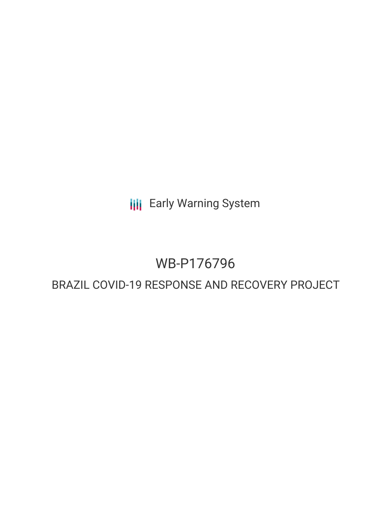**III** Early Warning System

# WB-P176796

# BRAZIL COVID-19 RESPONSE AND RECOVERY PROJECT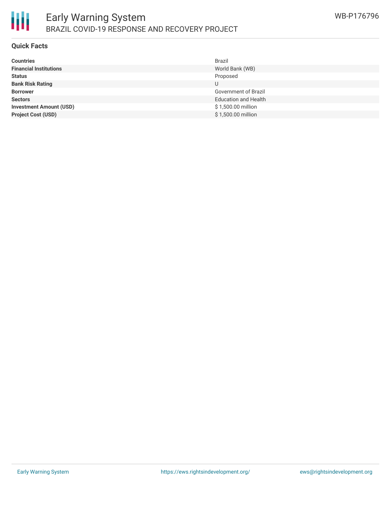

#### **Quick Facts**

| <b>Countries</b>               | <b>Brazil</b>               |
|--------------------------------|-----------------------------|
| <b>Financial Institutions</b>  | World Bank (WB)             |
| <b>Status</b>                  | Proposed                    |
| <b>Bank Risk Rating</b>        | U                           |
| <b>Borrower</b>                | Government of Brazil        |
| <b>Sectors</b>                 | <b>Education and Health</b> |
| <b>Investment Amount (USD)</b> | \$1,500.00 million          |
| <b>Project Cost (USD)</b>      | \$1,500.00 million          |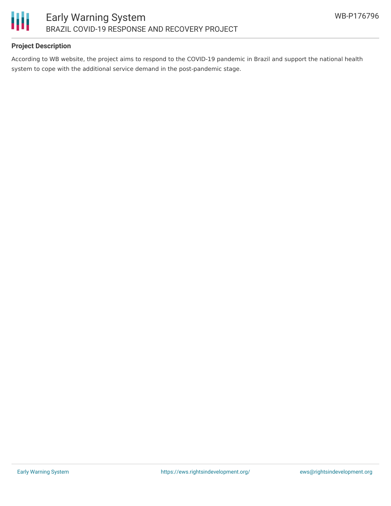

### **Project Description**

According to WB website, the project aims to respond to the COVID-19 pandemic in Brazil and support the national health system to cope with the additional service demand in the post-pandemic stage.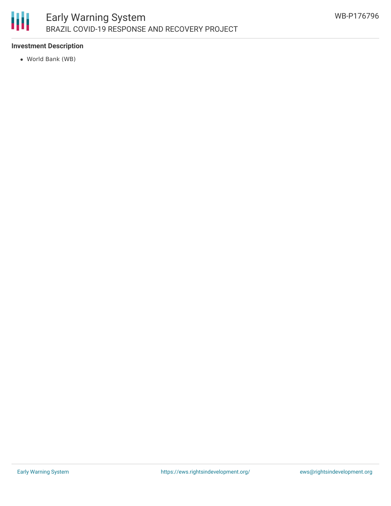

## **Investment Description**

World Bank (WB)